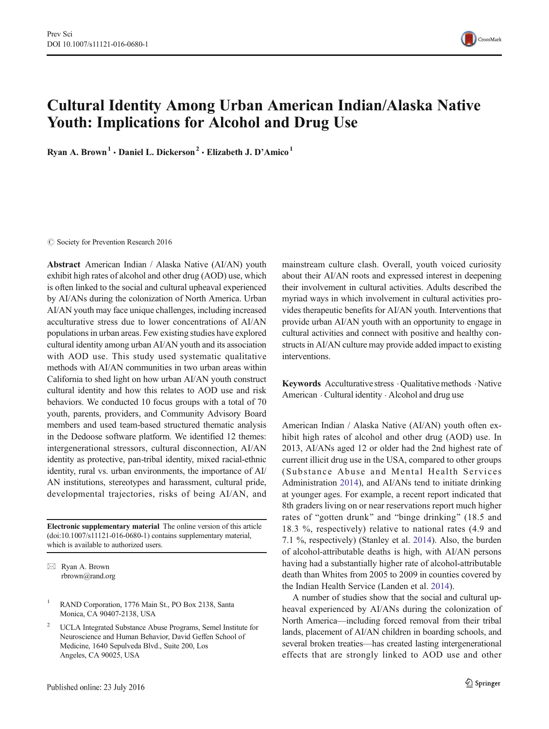

# Cultural Identity Among Urban American Indian/Alaska Native Youth: Implications for Alcohol and Drug Use

Ryan A. Brown<sup>1</sup> · Daniel L. Dickerson<sup>2</sup> · Elizabeth J. D'Amico<sup>1</sup>

 $\oslash$  Society for Prevention Research 2016

Abstract American Indian / Alaska Native (AI/AN) youth exhibit high rates of alcohol and other drug (AOD) use, which is often linked to the social and cultural upheaval experienced by AI/ANs during the colonization of North America. Urban AI/AN youth may face unique challenges, including increased acculturative stress due to lower concentrations of AI/AN populations in urban areas. Few existing studies have explored cultural identity among urban AI/AN youth and its association with AOD use. This study used systematic qualitative methods with AI/AN communities in two urban areas within California to shed light on how urban AI/AN youth construct cultural identity and how this relates to AOD use and risk behaviors. We conducted 10 focus groups with a total of 70 youth, parents, providers, and Community Advisory Board members and used team-based structured thematic analysis in the Dedoose software platform. We identified 12 themes: intergenerational stressors, cultural disconnection, AI/AN identity as protective, pan-tribal identity, mixed racial-ethnic identity, rural vs. urban environments, the importance of AI/ AN institutions, stereotypes and harassment, cultural pride, developmental trajectories, risks of being AI/AN, and

Electronic supplementary material The online version of this article (doi[:10.1007/s11121-016-0680-1\)](http://dx.doi.org/10.1007/s11121-016-0680-1) contains supplementary material, which is available to authorized users.

mainstream culture clash. Overall, youth voiced curiosity about their AI/AN roots and expressed interest in deepening their involvement in cultural activities. Adults described the myriad ways in which involvement in cultural activities provides therapeutic benefits for AI/AN youth. Interventions that provide urban AI/AN youth with an opportunity to engage in cultural activities and connect with positive and healthy constructs in AI/AN culture may provide added impact to existing interventions.

Keywords Acculturative stress  $\cdot$  Oualitative methods  $\cdot$  Native American . Cultural identity . Alcohol and drug use

American Indian / Alaska Native (AI/AN) youth often exhibit high rates of alcohol and other drug (AOD) use. In 2013, AI/ANs aged 12 or older had the 2nd highest rate of current illicit drug use in the USA, compared to other groups (Substance Abuse and Mental Health Services Administration [2014\)](#page-9-0), and AI/ANs tend to initiate drinking at younger ages. For example, a recent report indicated that 8th graders living on or near reservations report much higher rates of "gotten drunk" and "binge drinking" (18.5 and 18.3 %, respectively) relative to national rates (4.9 and 7.1 %, respectively) (Stanley et al. [2014](#page-9-0)). Also, the burden of alcohol-attributable deaths is high, with AI/AN persons having had a substantially higher rate of alcohol-attributable death than Whites from 2005 to 2009 in counties covered by the Indian Health Service (Landen et al. [2014\)](#page-8-0).

A number of studies show that the social and cultural upheaval experienced by AI/ANs during the colonization of North America—including forced removal from their tribal lands, placement of AI/AN children in boarding schools, and several broken treaties—has created lasting intergenerational effects that are strongly linked to AOD use and other

 $\boxtimes$  Ryan A. Brown rbrown@rand.org

<sup>1</sup> RAND Corporation, 1776 Main St., PO Box 2138, Santa Monica, CA 90407-2138, USA

<sup>2</sup> UCLA Integrated Substance Abuse Programs, Semel Institute for Neuroscience and Human Behavior, David Geffen School of Medicine, 1640 Sepulveda Blvd., Suite 200, Los Angeles, CA 90025, USA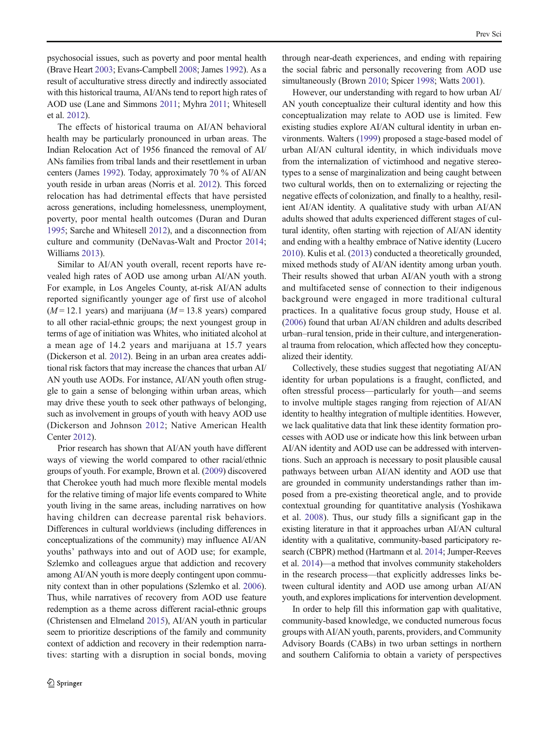psychosocial issues, such as poverty and poor mental health (Brave Heart [2003;](#page-8-0) Evans-Campbell [2008;](#page-8-0) James [1992\)](#page-8-0). As a result of acculturative stress directly and indirectly associated with this historical trauma, AI/ANs tend to report high rates of AOD use (Lane and Simmons [2011;](#page-8-0) Myhra [2011;](#page-8-0) Whitesell et al. [2012](#page-9-0)).

The effects of historical trauma on AI/AN behavioral health may be particularly pronounced in urban areas. The Indian Relocation Act of 1956 financed the removal of AI/ ANs families from tribal lands and their resettlement in urban centers (James [1992\)](#page-8-0). Today, approximately 70 % of AI/AN youth reside in urban areas (Norris et al. [2012](#page-9-0)). This forced relocation has had detrimental effects that have persisted across generations, including homelessness, unemployment, poverty, poor mental health outcomes (Duran and Duran [1995;](#page-8-0) Sarche and Whitesell [2012](#page-9-0)), and a disconnection from culture and community (DeNavas-Walt and Proctor [2014](#page-8-0); Williams [2013](#page-9-0)).

Similar to AI/AN youth overall, recent reports have revealed high rates of AOD use among urban AI/AN youth. For example, in Los Angeles County, at-risk AI/AN adults reported significantly younger age of first use of alcohol  $(M = 12.1$  years) and marijuana  $(M = 13.8$  years) compared to all other racial-ethnic groups; the next youngest group in terms of age of initiation was Whites, who initiated alcohol at a mean age of 14.2 years and marijuana at 15.7 years (Dickerson et al. [2012\)](#page-8-0). Being in an urban area creates additional risk factors that may increase the chances that urban AI/ AN youth use AODs. For instance, AI/AN youth often struggle to gain a sense of belonging within urban areas, which may drive these youth to seek other pathways of belonging, such as involvement in groups of youth with heavy AOD use (Dickerson and Johnson [2012;](#page-8-0) Native American Health Center [2012\)](#page-8-0).

Prior research has shown that AI/AN youth have different ways of viewing the world compared to other racial/ethnic groups of youth. For example, Brown et al. [\(2009\)](#page-8-0) discovered that Cherokee youth had much more flexible mental models for the relative timing of major life events compared to White youth living in the same areas, including narratives on how having children can decrease parental risk behaviors. Differences in cultural worldviews (including differences in conceptualizations of the community) may influence AI/AN youths' pathways into and out of AOD use; for example, Szlemko and colleagues argue that addiction and recovery among AI/AN youth is more deeply contingent upon community context than in other populations (Szlemko et al. [2006\)](#page-9-0). Thus, while narratives of recovery from AOD use feature redemption as a theme across different racial-ethnic groups (Christensen and Elmeland [2015\)](#page-8-0), AI/AN youth in particular seem to prioritize descriptions of the family and community context of addiction and recovery in their redemption narratives: starting with a disruption in social bonds, moving

through near-death experiences, and ending with repairing the social fabric and personally recovering from AOD use simultaneously (Brown [2010](#page-8-0); Spicer [1998](#page-9-0); Watts [2001\)](#page-9-0).

However, our understanding with regard to how urban AI/ AN youth conceptualize their cultural identity and how this conceptualization may relate to AOD use is limited. Few existing studies explore AI/AN cultural identity in urban environments. Walters [\(1999\)](#page-9-0) proposed a stage-based model of urban AI/AN cultural identity, in which individuals move from the internalization of victimhood and negative stereotypes to a sense of marginalization and being caught between two cultural worlds, then on to externalizing or rejecting the negative effects of colonization, and finally to a healthy, resilient AI/AN identity. A qualitative study with urban AI/AN adults showed that adults experienced different stages of cultural identity, often starting with rejection of AI/AN identity and ending with a healthy embrace of Native identity (Lucero [2010\)](#page-8-0). Kulis et al. ([2013](#page-8-0)) conducted a theoretically grounded, mixed methods study of AI/AN identity among urban youth. Their results showed that urban AI/AN youth with a strong and multifaceted sense of connection to their indigenous background were engaged in more traditional cultural practices. In a qualitative focus group study, House et al. [\(2006\)](#page-8-0) found that urban AI/AN children and adults described urban–rural tension, pride in their culture, and intergenerational trauma from relocation, which affected how they conceptualized their identity.

Collectively, these studies suggest that negotiating AI/AN identity for urban populations is a fraught, conflicted, and often stressful process—particularly for youth—and seems to involve multiple stages ranging from rejection of AI/AN identity to healthy integration of multiple identities. However, we lack qualitative data that link these identity formation processes with AOD use or indicate how this link between urban AI/AN identity and AOD use can be addressed with interventions. Such an approach is necessary to posit plausible causal pathways between urban AI/AN identity and AOD use that are grounded in community understandings rather than imposed from a pre-existing theoretical angle, and to provide contextual grounding for quantitative analysis (Yoshikawa et al. [2008](#page-9-0)). Thus, our study fills a significant gap in the existing literature in that it approaches urban AI/AN cultural identity with a qualitative, community-based participatory research (CBPR) method (Hartmann et al. [2014](#page-8-0); Jumper-Reeves et al. [2014\)](#page-8-0)—a method that involves community stakeholders in the research process—that explicitly addresses links between cultural identity and AOD use among urban AI/AN youth, and explores implications for intervention development.

In order to help fill this information gap with qualitative, community-based knowledge, we conducted numerous focus groups with AI/AN youth, parents, providers, and Community Advisory Boards (CABs) in two urban settings in northern and southern California to obtain a variety of perspectives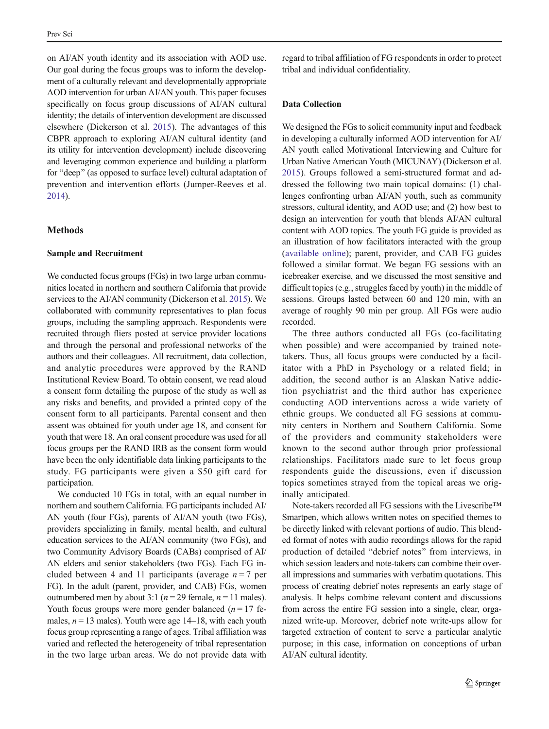on AI/AN youth identity and its association with AOD use. Our goal during the focus groups was to inform the development of a culturally relevant and developmentally appropriate AOD intervention for urban AI/AN youth. This paper focuses specifically on focus group discussions of AI/AN cultural identity; the details of intervention development are discussed elsewhere (Dickerson et al. [2015](#page-8-0)). The advantages of this CBPR approach to exploring AI/AN cultural identity (and its utility for intervention development) include discovering and leveraging common experience and building a platform for "deep" (as opposed to surface level) cultural adaptation of prevention and intervention efforts (Jumper-Reeves et al. [2014\)](#page-8-0).

## Methods

#### Sample and Recruitment

We conducted focus groups (FGs) in two large urban communities located in northern and southern California that provide services to the AI/AN community (Dickerson et al. [2015](#page-8-0)). We collaborated with community representatives to plan focus groups, including the sampling approach. Respondents were recruited through fliers posted at service provider locations and through the personal and professional networks of the authors and their colleagues. All recruitment, data collection, and analytic procedures were approved by the RAND Institutional Review Board. To obtain consent, we read aloud a consent form detailing the purpose of the study as well as any risks and benefits, and provided a printed copy of the consent form to all participants. Parental consent and then assent was obtained for youth under age 18, and consent for youth that were 18. An oral consent procedure was used for all focus groups per the RAND IRB as the consent form would have been the only identifiable data linking participants to the study. FG participants were given a \$50 gift card for participation.

We conducted 10 FGs in total, with an equal number in northern and southern California. FG participants included AI/ AN youth (four FGs), parents of AI/AN youth (two FGs), providers specializing in family, mental health, and cultural education services to the AI/AN community (two FGs), and two Community Advisory Boards (CABs) comprised of AI/ AN elders and senior stakeholders (two FGs). Each FG included between 4 and 11 participants (average  $n = 7$  per FG). In the adult (parent, provider, and CAB) FGs, women outnumbered men by about 3:1 ( $n = 29$  female,  $n = 11$  males). Youth focus groups were more gender balanced  $(n = 17$  females,  $n = 13$  males). Youth were age 14–18, with each youth focus group representing a range of ages. Tribal affiliation was varied and reflected the heterogeneity of tribal representation in the two large urban areas. We do not provide data with regard to tribal affiliation of FG respondents in order to protect tribal and individual confidentiality.

# Data Collection

We designed the FGs to solicit community input and feedback in developing a culturally informed AOD intervention for AI/ AN youth called Motivational Interviewing and Culture for Urban Native American Youth (MICUNAY) (Dickerson et al. [2015](#page-8-0)). Groups followed a semi-structured format and addressed the following two main topical domains: (1) challenges confronting urban AI/AN youth, such as community stressors, cultural identity, and AOD use; and (2) how best to design an intervention for youth that blends AI/AN cultural content with AOD topics. The youth FG guide is provided as an illustration of how facilitators interacted with the group (available online); parent, provider, and CAB FG guides followed a similar format. We began FG sessions with an icebreaker exercise, and we discussed the most sensitive and difficult topics (e.g., struggles faced by youth) in the middle of sessions. Groups lasted between 60 and 120 min, with an average of roughly 90 min per group. All FGs were audio recorded.

The three authors conducted all FGs (co-facilitating when possible) and were accompanied by trained notetakers. Thus, all focus groups were conducted by a facilitator with a PhD in Psychology or a related field; in addition, the second author is an Alaskan Native addiction psychiatrist and the third author has experience conducting AOD interventions across a wide variety of ethnic groups. We conducted all FG sessions at community centers in Northern and Southern California. Some of the providers and community stakeholders were known to the second author through prior professional relationships. Facilitators made sure to let focus group respondents guide the discussions, even if discussion topics sometimes strayed from the topical areas we originally anticipated.

Note-takers recorded all FG sessions with the Livescribe™ Smartpen, which allows written notes on specified themes to be directly linked with relevant portions of audio. This blended format of notes with audio recordings allows for the rapid production of detailed "debrief notes" from interviews, in which session leaders and note-takers can combine their overall impressions and summaries with verbatim quotations. This process of creating debrief notes represents an early stage of analysis. It helps combine relevant content and discussions from across the entire FG session into a single, clear, organized write-up. Moreover, debrief note write-ups allow for targeted extraction of content to serve a particular analytic purpose; in this case, information on conceptions of urban AI/AN cultural identity.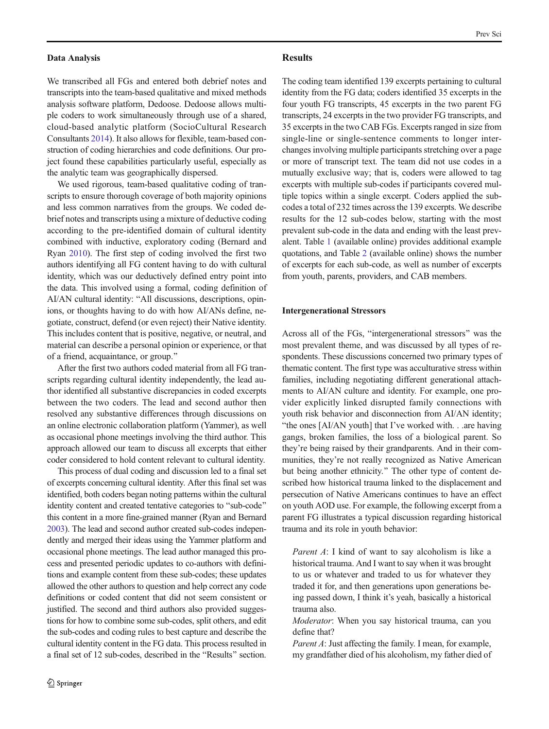#### Data Analysis

We transcribed all FGs and entered both debrief notes and transcripts into the team-based qualitative and mixed methods analysis software platform, Dedoose. Dedoose allows multiple coders to work simultaneously through use of a shared, cloud-based analytic platform (SocioCultural Research Consultants [2014](#page-9-0)). It also allows for flexible, team-based construction of coding hierarchies and code definitions. Our project found these capabilities particularly useful, especially as the analytic team was geographically dispersed.

We used rigorous, team-based qualitative coding of transcripts to ensure thorough coverage of both majority opinions and less common narratives from the groups. We coded debrief notes and transcripts using a mixture of deductive coding according to the pre-identified domain of cultural identity combined with inductive, exploratory coding (Bernard and Ryan [2010\)](#page-8-0). The first step of coding involved the first two authors identifying all FG content having to do with cultural identity, which was our deductively defined entry point into the data. This involved using a formal, coding definition of AI/AN cultural identity: "All discussions, descriptions, opinions, or thoughts having to do with how AI/ANs define, negotiate, construct, defend (or even reject) their Native identity. This includes content that is positive, negative, or neutral, and material can describe a personal opinion or experience, or that of a friend, acquaintance, or group.^

After the first two authors coded material from all FG transcripts regarding cultural identity independently, the lead author identified all substantive discrepancies in coded excerpts between the two coders. The lead and second author then resolved any substantive differences through discussions on an online electronic collaboration platform (Yammer), as well as occasional phone meetings involving the third author. This approach allowed our team to discuss all excerpts that either coder considered to hold content relevant to cultural identity.

This process of dual coding and discussion led to a final set of excerpts concerning cultural identity. After this final set was identified, both coders began noting patterns within the cultural identity content and created tentative categories to "sub-code" this content in a more fine-grained manner (Ryan and Bernard [2003](#page-9-0)). The lead and second author created sub-codes independently and merged their ideas using the Yammer platform and occasional phone meetings. The lead author managed this process and presented periodic updates to co-authors with definitions and example content from these sub-codes; these updates allowed the other authors to question and help correct any code definitions or coded content that did not seem consistent or justified. The second and third authors also provided suggestions for how to combine some sub-codes, split others, and edit the sub-codes and coding rules to best capture and describe the cultural identity content in the FG data. This process resulted in a final set of 12 sub-codes, described in the "Results" section.

#### Results

The coding team identified 139 excerpts pertaining to cultural identity from the FG data; coders identified 35 excerpts in the four youth FG transcripts, 45 excerpts in the two parent FG transcripts, 24 excerpts in the two provider FG transcripts, and 35 excerpts in the two CAB FGs. Excerpts ranged in size from single-line or single-sentence comments to longer interchanges involving multiple participants stretching over a page or more of transcript text. The team did not use codes in a mutually exclusive way; that is, coders were allowed to tag excerpts with multiple sub-codes if participants covered multiple topics within a single excerpt. Coders applied the subcodes a total of 232 times across the 139 excerpts. We describe results for the 12 sub-codes below, starting with the most prevalent sub-code in the data and ending with the least prevalent. Table 1 (available online) provides additional example quotations, and Table 2 (available online) shows the number of excerpts for each sub-code, as well as number of excerpts from youth, parents, providers, and CAB members.

### Intergenerational Stressors

Across all of the FGs, "intergenerational stressors" was the most prevalent theme, and was discussed by all types of respondents. These discussions concerned two primary types of thematic content. The first type was acculturative stress within families, including negotiating different generational attachments to AI/AN culture and identity. For example, one provider explicitly linked disrupted family connections with youth risk behavior and disconnection from AI/AN identity; "the ones  $[AI/AN$  youth] that I've worked with. . .are having gangs, broken families, the loss of a biological parent. So they're being raised by their grandparents. And in their communities, they're not really recognized as Native American but being another ethnicity." The other type of content described how historical trauma linked to the displacement and persecution of Native Americans continues to have an effect on youth AOD use. For example, the following excerpt from a parent FG illustrates a typical discussion regarding historical trauma and its role in youth behavior:

Parent A: I kind of want to say alcoholism is like a historical trauma. And I want to say when it was brought to us or whatever and traded to us for whatever they traded it for, and then generations upon generations being passed down, I think it's yeah, basically a historical trauma also.

Moderator: When you say historical trauma, can you define that?

Parent A: Just affecting the family. I mean, for example, my grandfather died of his alcoholism, my father died of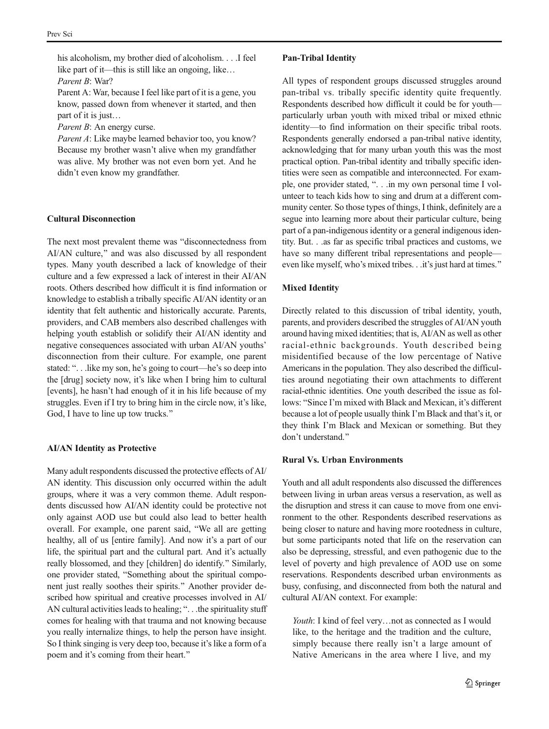his alcoholism, my brother died of alcoholism. . . .I feel like part of it—this is still like an ongoing, like… Parent B: War?

Parent A: War, because I feel like part of it is a gene, you know, passed down from whenever it started, and then part of it is just…

Parent B: An energy curse.

Parent A: Like maybe learned behavior too, you know? Because my brother wasn't alive when my grandfather was alive. My brother was not even born yet. And he didn't even know my grandfather.

# Cultural Disconnection

The next most prevalent theme was "disconnectedness from AI/AN culture," and was also discussed by all respondent types. Many youth described a lack of knowledge of their culture and a few expressed a lack of interest in their AI/AN roots. Others described how difficult it is find information or knowledge to establish a tribally specific AI/AN identity or an identity that felt authentic and historically accurate. Parents, providers, and CAB members also described challenges with helping youth establish or solidify their AI/AN identity and negative consequences associated with urban AI/AN youths' disconnection from their culture. For example, one parent stated: "... like my son, he's going to court—he's so deep into the [drug] society now, it's like when I bring him to cultural [events], he hasn't had enough of it in his life because of my struggles. Even if I try to bring him in the circle now, it's like, God, I have to line up tow trucks."

# AI/AN Identity as Protective

Many adult respondents discussed the protective effects of AI/ AN identity. This discussion only occurred within the adult groups, where it was a very common theme. Adult respondents discussed how AI/AN identity could be protective not only against AOD use but could also lead to better health overall. For example, one parent said, "We all are getting healthy, all of us [entire family]. And now it's a part of our life, the spiritual part and the cultural part. And it's actually really blossomed, and they [children] do identify." Similarly, one provider stated, "Something about the spiritual component just really soothes their spirits.^ Another provider described how spiritual and creative processes involved in AI/ AN cultural activities leads to healing; " $\ldots$  the spirituality stuff comes for healing with that trauma and not knowing because you really internalize things, to help the person have insight. So I think singing is very deep too, because it's like a form of a poem and it's coming from their heart."

### Pan-Tribal Identity

All types of respondent groups discussed struggles around pan-tribal vs. tribally specific identity quite frequently. Respondents described how difficult it could be for youth particularly urban youth with mixed tribal or mixed ethnic identity—to find information on their specific tribal roots. Respondents generally endorsed a pan-tribal native identity, acknowledging that for many urban youth this was the most practical option. Pan-tribal identity and tribally specific identities were seen as compatible and interconnected. For example, one provider stated, ". . .in my own personal time I volunteer to teach kids how to sing and drum at a different community center. So those types of things, I think, definitely are a segue into learning more about their particular culture, being part of a pan-indigenous identity or a general indigenous identity. But. . .as far as specific tribal practices and customs, we have so many different tribal representations and people even like myself, who's mixed tribes. . .it's just hard at times."

# Mixed Identity

Directly related to this discussion of tribal identity, youth, parents, and providers described the struggles of AI/AN youth around having mixed identities; that is, AI/AN as well as other racial-ethnic backgrounds. Youth described being misidentified because of the low percentage of Native Americans in the population. They also described the difficulties around negotiating their own attachments to different racial-ethnic identities. One youth described the issue as follows: "Since I'm mixed with Black and Mexican, it's different because a lot of people usually think I'm Black and that's it, or they think I'm Black and Mexican or something. But they don't understand."

#### Rural Vs. Urban Environments

Youth and all adult respondents also discussed the differences between living in urban areas versus a reservation, as well as the disruption and stress it can cause to move from one environment to the other. Respondents described reservations as being closer to nature and having more rootedness in culture, but some participants noted that life on the reservation can also be depressing, stressful, and even pathogenic due to the level of poverty and high prevalence of AOD use on some reservations. Respondents described urban environments as busy, confusing, and disconnected from both the natural and cultural AI/AN context. For example:

Youth: I kind of feel very…not as connected as I would like, to the heritage and the tradition and the culture, simply because there really isn't a large amount of Native Americans in the area where I live, and my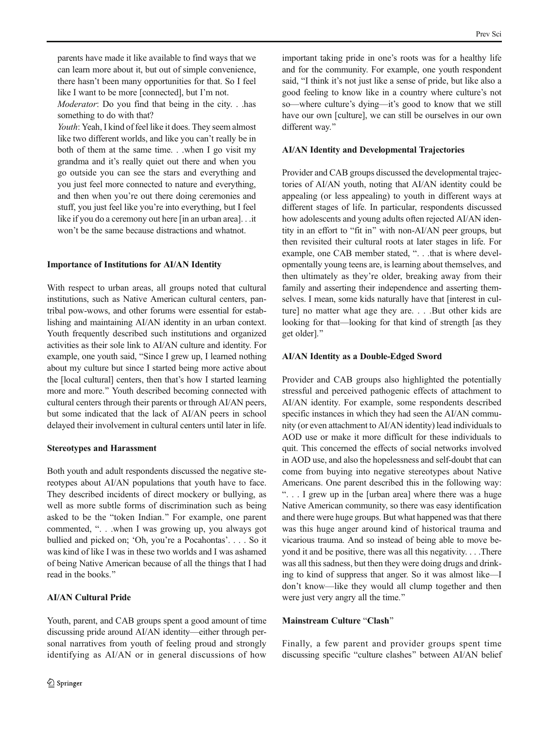parents have made it like available to find ways that we can learn more about it, but out of simple convenience, there hasn't been many opportunities for that. So I feel like I want to be more [connected], but I'm not.

Moderator: Do you find that being in the city. . .has something to do with that?

Youth: Yeah, I kind of feel like it does. They seem almost like two different worlds, and like you can't really be in both of them at the same time. . .when I go visit my grandma and it's really quiet out there and when you go outside you can see the stars and everything and you just feel more connected to nature and everything, and then when you're out there doing ceremonies and stuff, you just feel like you're into everything, but I feel like if you do a ceremony out here [in an urban area]. . .it won't be the same because distractions and whatnot.

## Importance of Institutions for AI/AN Identity

With respect to urban areas, all groups noted that cultural institutions, such as Native American cultural centers, pantribal pow-wows, and other forums were essential for establishing and maintaining AI/AN identity in an urban context. Youth frequently described such institutions and organized activities as their sole link to AI/AN culture and identity. For example, one youth said, "Since I grew up, I learned nothing about my culture but since I started being more active about the [local cultural] centers, then that's how I started learning more and more." Youth described becoming connected with cultural centers through their parents or through AI/AN peers, but some indicated that the lack of AI/AN peers in school delayed their involvement in cultural centers until later in life.

#### Stereotypes and Harassment

Both youth and adult respondents discussed the negative stereotypes about AI/AN populations that youth have to face. They described incidents of direct mockery or bullying, as well as more subtle forms of discrimination such as being asked to be the "token Indian." For example, one parent commented, ". . .when I was growing up, you always got bullied and picked on; 'Oh, you're a Pocahontas'. . . . So it was kind of like I was in these two worlds and I was ashamed of being Native American because of all the things that I had read in the books."

## AI/AN Cultural Pride

Youth, parent, and CAB groups spent a good amount of time discussing pride around AI/AN identity—either through personal narratives from youth of feeling proud and strongly identifying as AI/AN or in general discussions of how

important taking pride in one's roots was for a healthy life and for the community. For example, one youth respondent said, "I think it's not just like a sense of pride, but like also a good feeling to know like in a country where culture's not so—where culture's dying—it's good to know that we still have our own [culture], we can still be ourselves in our own different way."

# AI/AN Identity and Developmental Trajectories

Provider and CAB groups discussed the developmental trajectories of AI/AN youth, noting that AI/AN identity could be appealing (or less appealing) to youth in different ways at different stages of life. In particular, respondents discussed how adolescents and young adults often rejected AI/AN identity in an effort to "fit in" with non-AI/AN peer groups, but then revisited their cultural roots at later stages in life. For example, one CAB member stated, "... that is where developmentally young teens are, is learning about themselves, and then ultimately as they're older, breaking away from their family and asserting their independence and asserting themselves. I mean, some kids naturally have that [interest in culture] no matter what age they are. . . .But other kids are looking for that—looking for that kind of strength [as they get older]."

#### AI/AN Identity as a Double-Edged Sword

Provider and CAB groups also highlighted the potentially stressful and perceived pathogenic effects of attachment to AI/AN identity. For example, some respondents described specific instances in which they had seen the AI/AN community (or even attachment to AI/AN identity) lead individuals to AOD use or make it more difficult for these individuals to quit. This concerned the effects of social networks involved in AOD use, and also the hopelessness and self-doubt that can come from buying into negative stereotypes about Native Americans. One parent described this in the following way: B. . . I grew up in the [urban area] where there was a huge Native American community, so there was easy identification and there were huge groups. But what happened was that there was this huge anger around kind of historical trauma and vicarious trauma. And so instead of being able to move beyond it and be positive, there was all this negativity. . . .There was all this sadness, but then they were doing drugs and drinking to kind of suppress that anger. So it was almost like—I don't know—like they would all clump together and then were just very angry all the time."

## Mainstream Culture "Clash"

Finally, a few parent and provider groups spent time discussing specific "culture clashes" between AI/AN belief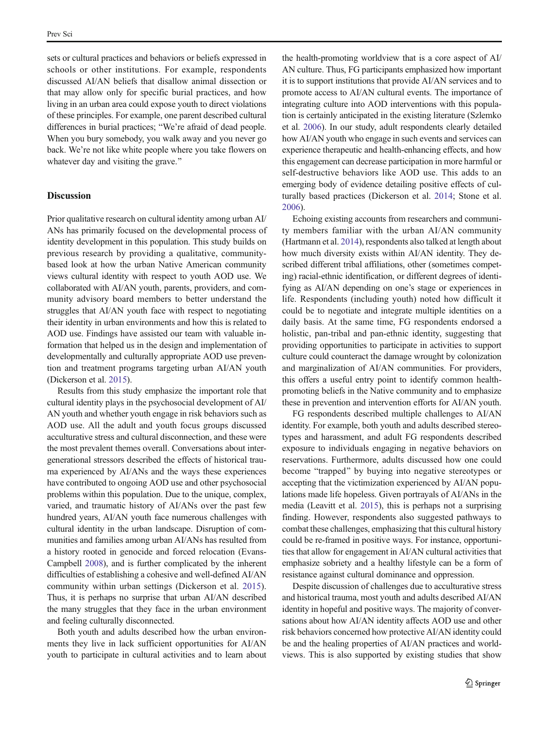sets or cultural practices and behaviors or beliefs expressed in schools or other institutions. For example, respondents discussed AI/AN beliefs that disallow animal dissection or that may allow only for specific burial practices, and how living in an urban area could expose youth to direct violations of these principles. For example, one parent described cultural differences in burial practices; "We're afraid of dead people. When you bury somebody, you walk away and you never go back. We're not like white people where you take flowers on whatever day and visiting the grave."

# Discussion

Prior qualitative research on cultural identity among urban AI/ ANs has primarily focused on the developmental process of identity development in this population. This study builds on previous research by providing a qualitative, communitybased look at how the urban Native American community views cultural identity with respect to youth AOD use. We collaborated with AI/AN youth, parents, providers, and community advisory board members to better understand the struggles that AI/AN youth face with respect to negotiating their identity in urban environments and how this is related to AOD use. Findings have assisted our team with valuable information that helped us in the design and implementation of developmentally and culturally appropriate AOD use prevention and treatment programs targeting urban AI/AN youth (Dickerson et al. [2015\)](#page-8-0).

Results from this study emphasize the important role that cultural identity plays in the psychosocial development of AI/ AN youth and whether youth engage in risk behaviors such as AOD use. All the adult and youth focus groups discussed acculturative stress and cultural disconnection, and these were the most prevalent themes overall. Conversations about intergenerational stressors described the effects of historical trauma experienced by AI/ANs and the ways these experiences have contributed to ongoing AOD use and other psychosocial problems within this population. Due to the unique, complex, varied, and traumatic history of AI/ANs over the past few hundred years, AI/AN youth face numerous challenges with cultural identity in the urban landscape. Disruption of communities and families among urban AI/ANs has resulted from a history rooted in genocide and forced relocation (Evans-Campbell [2008\)](#page-8-0), and is further complicated by the inherent difficulties of establishing a cohesive and well-defined AI/AN community within urban settings (Dickerson et al. [2015](#page-8-0)). Thus, it is perhaps no surprise that urban AI/AN described the many struggles that they face in the urban environment and feeling culturally disconnected.

Both youth and adults described how the urban environments they live in lack sufficient opportunities for AI/AN youth to participate in cultural activities and to learn about

the health-promoting worldview that is a core aspect of AI/ AN culture. Thus, FG participants emphasized how important it is to support institutions that provide AI/AN services and to promote access to AI/AN cultural events. The importance of integrating culture into AOD interventions with this population is certainly anticipated in the existing literature (Szlemko et al. [2006\)](#page-9-0). In our study, adult respondents clearly detailed how AI/AN youth who engage in such events and services can experience therapeutic and health-enhancing effects, and how this engagement can decrease participation in more harmful or self-destructive behaviors like AOD use. This adds to an emerging body of evidence detailing positive effects of culturally based practices (Dickerson et al. [2014](#page-8-0); Stone et al. [2006\)](#page-9-0).

Echoing existing accounts from researchers and community members familiar with the urban AI/AN community (Hartmann et al. [2014](#page-8-0)), respondents also talked at length about how much diversity exists within AI/AN identity. They described different tribal affiliations, other (sometimes competing) racial-ethnic identification, or different degrees of identifying as AI/AN depending on one's stage or experiences in life. Respondents (including youth) noted how difficult it could be to negotiate and integrate multiple identities on a daily basis. At the same time, FG respondents endorsed a holistic, pan-tribal and pan-ethnic identity, suggesting that providing opportunities to participate in activities to support culture could counteract the damage wrought by colonization and marginalization of AI/AN communities. For providers, this offers a useful entry point to identify common healthpromoting beliefs in the Native community and to emphasize these in prevention and intervention efforts for AI/AN youth.

FG respondents described multiple challenges to AI/AN identity. For example, both youth and adults described stereotypes and harassment, and adult FG respondents described exposure to individuals engaging in negative behaviors on reservations. Furthermore, adults discussed how one could become "trapped" by buying into negative stereotypes or accepting that the victimization experienced by AI/AN populations made life hopeless. Given portrayals of AI/ANs in the media (Leavitt et al. [2015\)](#page-8-0), this is perhaps not a surprising finding. However, respondents also suggested pathways to combat these challenges, emphasizing that this cultural history could be re-framed in positive ways. For instance, opportunities that allow for engagement in AI/AN cultural activities that emphasize sobriety and a healthy lifestyle can be a form of resistance against cultural dominance and oppression.

Despite discussion of challenges due to acculturative stress and historical trauma, most youth and adults described AI/AN identity in hopeful and positive ways. The majority of conversations about how AI/AN identity affects AOD use and other risk behaviors concerned how protective AI/AN identity could be and the healing properties of AI/AN practices and worldviews. This is also supported by existing studies that show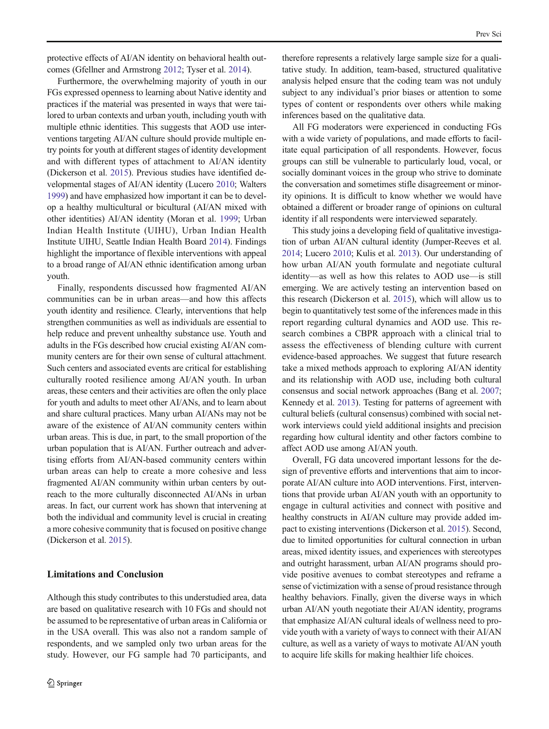protective effects of AI/AN identity on behavioral health outcomes (Gfellner and Armstrong [2012](#page-8-0); Tyser et al. [2014\)](#page-9-0).

Furthermore, the overwhelming majority of youth in our FGs expressed openness to learning about Native identity and practices if the material was presented in ways that were tailored to urban contexts and urban youth, including youth with multiple ethnic identities. This suggests that AOD use interventions targeting AI/AN culture should provide multiple entry points for youth at different stages of identity development and with different types of attachment to AI/AN identity (Dickerson et al. [2015](#page-8-0)). Previous studies have identified developmental stages of AI/AN identity (Lucero [2010](#page-8-0); Walters [1999\)](#page-9-0) and have emphasized how important it can be to develop a healthy multicultural or bicultural (AI/AN mixed with other identities) AI/AN identity (Moran et al. [1999](#page-8-0); Urban Indian Health Institute (UIHU), Urban Indian Health Institute UIHU, Seattle Indian Health Board [2014\)](#page-9-0). Findings highlight the importance of flexible interventions with appeal to a broad range of AI/AN ethnic identification among urban youth.

Finally, respondents discussed how fragmented AI/AN communities can be in urban areas—and how this affects youth identity and resilience. Clearly, interventions that help strengthen communities as well as individuals are essential to help reduce and prevent unhealthy substance use. Youth and adults in the FGs described how crucial existing AI/AN community centers are for their own sense of cultural attachment. Such centers and associated events are critical for establishing culturally rooted resilience among AI/AN youth. In urban areas, these centers and their activities are often the only place for youth and adults to meet other AI/ANs, and to learn about and share cultural practices. Many urban AI/ANs may not be aware of the existence of AI/AN community centers within urban areas. This is due, in part, to the small proportion of the urban population that is AI/AN. Further outreach and advertising efforts from AI/AN-based community centers within urban areas can help to create a more cohesive and less fragmented AI/AN community within urban centers by outreach to the more culturally disconnected AI/ANs in urban areas. In fact, our current work has shown that intervening at both the individual and community level is crucial in creating a more cohesive community that is focused on positive change (Dickerson et al. [2015\)](#page-8-0).

# Limitations and Conclusion

Although this study contributes to this understudied area, data are based on qualitative research with 10 FGs and should not be assumed to be representative of urban areas in California or in the USA overall. This was also not a random sample of respondents, and we sampled only two urban areas for the study. However, our FG sample had 70 participants, and

therefore represents a relatively large sample size for a qualitative study. In addition, team-based, structured qualitative analysis helped ensure that the coding team was not unduly subject to any individual's prior biases or attention to some types of content or respondents over others while making inferences based on the qualitative data.

All FG moderators were experienced in conducting FGs with a wide variety of populations, and made efforts to facilitate equal participation of all respondents. However, focus groups can still be vulnerable to particularly loud, vocal, or socially dominant voices in the group who strive to dominate the conversation and sometimes stifle disagreement or minority opinions. It is difficult to know whether we would have obtained a different or broader range of opinions on cultural identity if all respondents were interviewed separately.

This study joins a developing field of qualitative investigation of urban AI/AN cultural identity (Jumper-Reeves et al. [2014;](#page-8-0) Lucero [2010](#page-8-0); Kulis et al. [2013\)](#page-8-0). Our understanding of how urban AI/AN youth formulate and negotiate cultural identity—as well as how this relates to AOD use—is still emerging. We are actively testing an intervention based on this research (Dickerson et al. [2015\)](#page-8-0), which will allow us to begin to quantitatively test some of the inferences made in this report regarding cultural dynamics and AOD use. This research combines a CBPR approach with a clinical trial to assess the effectiveness of blending culture with current evidence-based approaches. We suggest that future research take a mixed methods approach to exploring AI/AN identity and its relationship with AOD use, including both cultural consensus and social network approaches (Bang et al. [2007;](#page-8-0) Kennedy et al. [2013\)](#page-8-0). Testing for patterns of agreement with cultural beliefs (cultural consensus) combined with social network interviews could yield additional insights and precision regarding how cultural identity and other factors combine to affect AOD use among AI/AN youth.

Overall, FG data uncovered important lessons for the design of preventive efforts and interventions that aim to incorporate AI/AN culture into AOD interventions. First, interventions that provide urban AI/AN youth with an opportunity to engage in cultural activities and connect with positive and healthy constructs in AI/AN culture may provide added impact to existing interventions (Dickerson et al. [2015](#page-8-0)). Second, due to limited opportunities for cultural connection in urban areas, mixed identity issues, and experiences with stereotypes and outright harassment, urban AI/AN programs should provide positive avenues to combat stereotypes and reframe a sense of victimization with a sense of proud resistance through healthy behaviors. Finally, given the diverse ways in which urban AI/AN youth negotiate their AI/AN identity, programs that emphasize AI/AN cultural ideals of wellness need to provide youth with a variety of ways to connect with their AI/AN culture, as well as a variety of ways to motivate AI/AN youth to acquire life skills for making healthier life choices.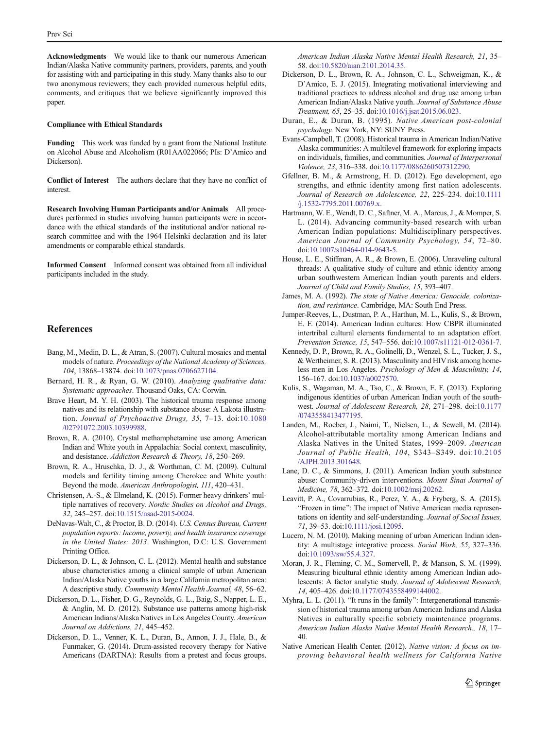<span id="page-8-0"></span>Acknowledgments We would like to thank our numerous American Indian/Alaska Native community partners, providers, parents, and youth for assisting with and participating in this study. Many thanks also to our two anonymous reviewers; they each provided numerous helpful edits, comments, and critiques that we believe significantly improved this paper.

#### Compliance with Ethical Standards

Funding This work was funded by a grant from the National Institute on Alcohol Abuse and Alcoholism (R01AA022066; PIs: D'Amico and Dickerson).

Conflict of Interest The authors declare that they have no conflict of interest.

Research Involving Human Participants and/or Animals All procedures performed in studies involving human participants were in accordance with the ethical standards of the institutional and/or national research committee and with the 1964 Helsinki declaration and its later amendments or comparable ethical standards.

Informed Consent Informed consent was obtained from all individual participants included in the study.

#### References

- Bang, M., Medin, D. L., & Atran, S. (2007). Cultural mosaics and mental models of nature. Proceedings of the National Academy of Sciences, 104, 13868–13874. doi[:10.1073/pnas.0706627104.](http://dx.doi.org/10.1073/pnas.0706627104)
- Bernard, H. R., & Ryan, G. W. (2010). Analyzing qualitative data: Systematic approaches. Thousand Oaks, CA: Corwin.
- Brave Heart, M. Y. H. (2003). The historical trauma response among natives and its relationship with substance abuse: A Lakota illustration. Journal of Psychoactive Drugs, 35, 7–13. doi[:10.1080](http://dx.doi.org/10.1080/02791072.2003.10399988) [/02791072.2003.10399988.](http://dx.doi.org/10.1080/02791072.2003.10399988)
- Brown, R. A. (2010). Crystal methamphetamine use among American Indian and White youth in Appalachia: Social context, masculinity, and desistance. Addiction Research & Theory, 18, 250–269.
- Brown, R. A., Hruschka, D. J., & Worthman, C. M. (2009). Cultural models and fertility timing among Cherokee and White youth: Beyond the mode. American Anthropologist, 111, 420–431.
- Christensen, A.-S., & Elmeland, K. (2015). Former heavy drinkers' multiple narratives of recovery. Nordic Studies on Alcohol and Drugs, 32, 245–257. doi[:10.1515/nsad-2015-0024.](http://dx.doi.org/10.1515/nsad-2015-0024)
- DeNavas-Walt, C., & Proctor, B. D. (2014). U.S. Census Bureau, Current population reports: Income, poverty, and health insurance coverage in the United States: 2013. Washington, D.C: U.S. Government Printing Office.
- Dickerson, D. L., & Johnson, C. L. (2012). Mental health and substance abuse characteristics among a clinical sample of urban American Indian/Alaska Native youths in a large California metropolitan area: A descriptive study. Community Mental Health Journal, 48, 56–62.
- Dickerson, D. L., Fisher, D. G., Reynolds, G. L., Baig, S., Napper, L. E., & Anglin, M. D. (2012). Substance use patterns among high-risk American Indians/Alaska Natives in Los Angeles County. American Journal on Addictions, 21, 445–452.
- Dickerson, D. L., Venner, K. L., Duran, B., Annon, J. J., Hale, B., & Funmaker, G. (2014). Drum-assisted recovery therapy for Native Americans (DARTNA): Results from a pretest and focus groups.

American Indian Alaska Native Mental Health Research, 21, 35– 58. doi[:10.5820/aian.2101.2014.35](http://dx.doi.org/10.5820/aian.2101.2014.35).

- Dickerson, D. L., Brown, R. A., Johnson, C. L., Schweigman, K., & D'Amico, E. J. (2015). Integrating motivational interviewing and traditional practices to address alcohol and drug use among urban American Indian/Alaska Native youth. Journal of Substance Abuse Treatment, 65, 25–35. doi:[10.1016/j.jsat.2015.06.023](http://dx.doi.org/10.1016/j.jsat.2015.06.023).
- Duran, E., & Duran, B. (1995). Native American post-colonial psychology. New York, NY: SUNY Press.
- Evans-Campbell, T. (2008). Historical trauma in American Indian/Native Alaska communities: A multilevel framework for exploring impacts on individuals, families, and communities. Journal of Interpersonal Violence, 23, 316–338. doi:[10.1177/0886260507312290.](http://dx.doi.org/10.1177/0886260507312290)
- Gfellner, B. M., & Armstrong, H. D. (2012). Ego development, ego strengths, and ethnic identity among first nation adolescents. Journal of Research on Adolescence, 22, 225–234. doi[:10.1111](http://dx.doi.org/10.1111/j.1532-7795.2011.00769.x) [/j.1532-7795.2011.00769.x](http://dx.doi.org/10.1111/j.1532-7795.2011.00769.x).
- Hartmann, W. E., Wendt, D. C., Saftner, M. A., Marcus, J., & Momper, S. L. (2014). Advancing community-based research with urban American Indian populations: Multidisciplinary perspectives. American Journal of Community Psychology, 54, 72–80. doi:[10.1007/s10464-014-9643-5.](http://dx.doi.org/10.1007/s10464-014-9643-5)
- House, L. E., Stiffman, A. R., & Brown, E. (2006). Unraveling cultural threads: A qualitative study of culture and ethnic identity among urban southwestern American Indian youth parents and elders. Journal of Child and Family Studies, 15, 393–407.
- James, M. A. (1992). The state of Native America: Genocide, colonization, and resistance. Cambridge, MA: South End Press.
- Jumper-Reeves, L., Dustman, P. A., Harthun, M. L., Kulis, S., & Brown, E. F. (2014). American Indian cultures: How CBPR illuminated intertribal cultural elements fundamental to an adaptation effort. Prevention Science, 15, 547–556. doi:[10.1007/s11121-012-0361-7.](http://dx.doi.org/10.1007/s11121-012-0361-7)
- Kennedy, D. P., Brown, R. A., Golinelli, D., Wenzel, S. L., Tucker, J. S., & Wertheimer, S. R. (2013). Masculinity and HIV risk among homeless men in Los Angeles. Psychology of Men & Masculinity, 14, 156–167. doi[:10.1037/a0027570.](http://dx.doi.org/10.1037/a0027570)
- Kulis, S., Wagaman, M. A., Tso, C., & Brown, E. F. (2013). Exploring indigenous identities of urban American Indian youth of the southwest. Journal of Adolescent Research, 28, 271–298. doi[:10.1177](http://dx.doi.org/10.1177/0743558413477195) [/0743558413477195](http://dx.doi.org/10.1177/0743558413477195).
- Landen, M., Roeber, J., Naimi, T., Nielsen, L., & Sewell, M. (2014). Alcohol-attributable mortality among American Indians and Alaska Natives in the United States, 1999–2009. American Journal of Public Health, 104, S343–S349. doi:[10.2105](http://dx.doi.org/10.2105/AJPH.2013.301648) [/AJPH.2013.301648](http://dx.doi.org/10.2105/AJPH.2013.301648).
- Lane, D. C., & Simmons, J. (2011). American Indian youth substance abuse: Community-driven interventions. Mount Sinai Journal of Medicine, 78, 362–372. doi[:10.1002/msj.20262.](http://dx.doi.org/10.1002/msj.20262)
- Leavitt, P. A., Covarrubias, R., Perez, Y. A., & Fryberg, S. A. (2015). "Frozen in time": The impact of Native American media representations on identity and self-understanding. Journal of Social Issues, 71, 39–53. doi[:10.1111/josi.12095.](http://dx.doi.org/10.1111/josi.12095)
- Lucero, N. M. (2010). Making meaning of urban American Indian identity: A multistage integrative process. Social Work, 55, 327–336. doi:[10.1093/sw/55.4.327.](http://dx.doi.org/10.1093/sw/55.4.327)
- Moran, J. R., Fleming, C. M., Somervell, P., & Manson, S. M. (1999). Measuring bicultural ethnic identity among American Indian adolescents: A factor analytic study. Journal of Adolescent Research, 14, 405–426. doi:[10.1177/0743558499144002.](http://dx.doi.org/10.1177/0743558499144002)
- Myhra, L. L. (2011). "It runs in the family": Intergenerational transmission of historical trauma among urban American Indians and Alaska Natives in culturally specific sobriety maintenance programs. American Indian Alaska Native Mental Health Research., 18, 17– 40.
- Native American Health Center. (2012). Native vision: A focus on improving behavioral health wellness for California Native